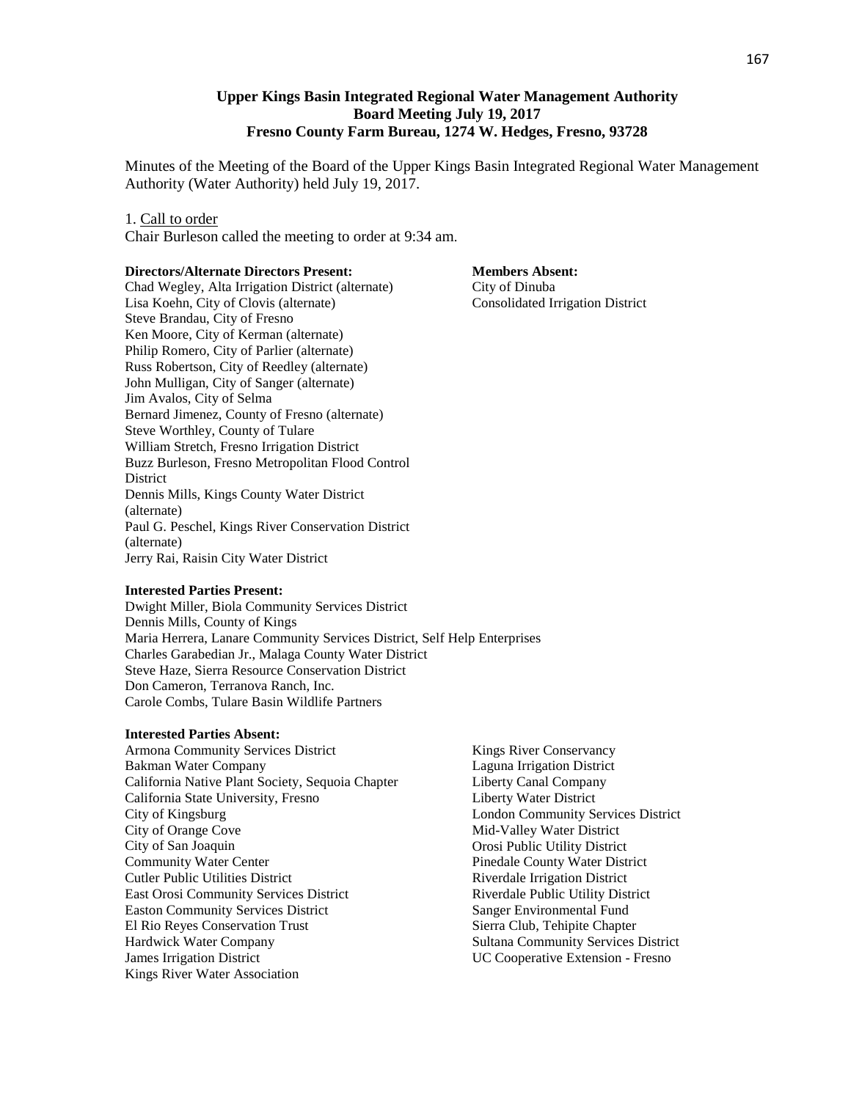# **Upper Kings Basin Integrated Regional Water Management Authority Board Meeting July 19, 2017 Fresno County Farm Bureau, 1274 W. Hedges, Fresno, 93728**

Minutes of the Meeting of the Board of the Upper Kings Basin Integrated Regional Water Management Authority (Water Authority) held July 19, 2017.

#### 1. Call to order

Chair Burleson called the meeting to order at 9:34 am.

#### **Directors/Alternate Directors Present:**

Chad Wegley, Alta Irrigation District (alternate) Lisa Koehn, City of Clovis (alternate) Steve Brandau, City of Fresno Ken Moore, City of Kerman (alternate) Philip Romero, City of Parlier (alternate) Russ Robertson, City of Reedley (alternate) John Mulligan, City of Sanger (alternate) Jim Avalos, City of Selma Bernard Jimenez, County of Fresno (alternate) Steve Worthley, County of Tulare William Stretch, Fresno Irrigation District Buzz Burleson, Fresno Metropolitan Flood Control **District** Dennis Mills, Kings County Water District (alternate) Paul G. Peschel, Kings River Conservation District (alternate) Jerry Rai, Raisin City Water District

**Members Absent:** City of Dinuba Consolidated Irrigation District

#### **Interested Parties Present:**

Dwight Miller, Biola Community Services District Dennis Mills, County of Kings Maria Herrera, Lanare Community Services District, Self Help Enterprises Charles Garabedian Jr., Malaga County Water District Steve Haze, Sierra Resource Conservation District Don Cameron, Terranova Ranch, Inc. Carole Combs, Tulare Basin Wildlife Partners

### **Interested Parties Absent:**

- Armona Community Services District Bakman Water Company California Native Plant Society, Sequoia Chapter California State University, Fresno City of Kingsburg City of Orange Cove City of San Joaquin Community Water Center Cutler Public Utilities District East Orosi Community Services District Easton Community Services District El Rio Reyes Conservation Trust Hardwick Water Company James Irrigation District Kings River Water Association
- Kings River Conservancy Laguna Irrigation District Liberty Canal Company Liberty Water District London Community Services District Mid-Valley Water District Orosi Public Utility District Pinedale County Water District Riverdale Irrigation District Riverdale Public Utility District Sanger Environmental Fund Sierra Club, Tehipite Chapter Sultana Community Services District UC Cooperative Extension - Fresno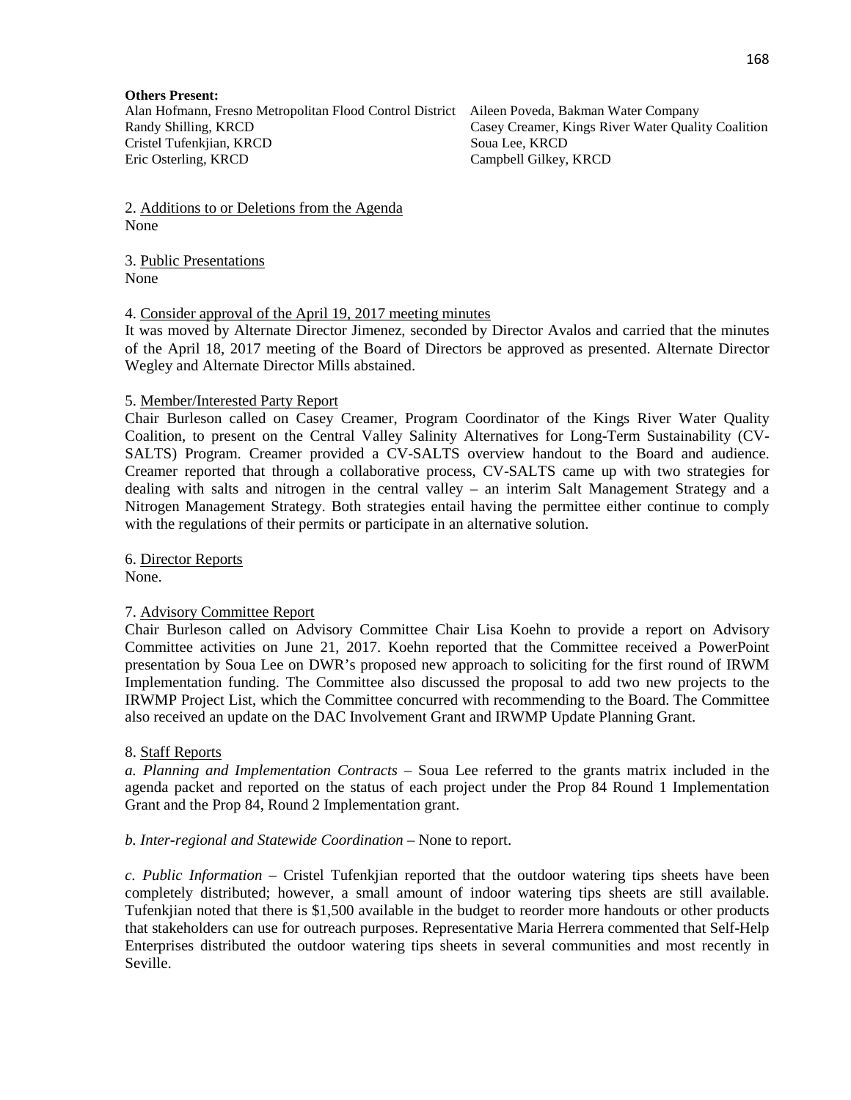### **Others Present:**

Alan Hofmann, Fresno Metropolitan Flood Control District Aileen Poveda, Bakman Water Company Randy Shilling, KRCD Casey Creamer, Kings River Water Quality Coalition Cristel Tufenkjian, KRCD Soua Lee, KRCD Eric Osterling, KRCD Campbell Gilkey, KRCD

2. Additions to or Deletions from the Agenda None

#### 3. Public Presentations None

4. Consider approval of the April 19, 2017 meeting minutes

It was moved by Alternate Director Jimenez, seconded by Director Avalos and carried that the minutes of the April 18, 2017 meeting of the Board of Directors be approved as presented. Alternate Director Wegley and Alternate Director Mills abstained.

### 5. Member/Interested Party Report

Chair Burleson called on Casey Creamer, Program Coordinator of the Kings River Water Quality Coalition, to present on the Central Valley Salinity Alternatives for Long-Term Sustainability (CV-SALTS) Program. Creamer provided a CV-SALTS overview handout to the Board and audience. Creamer reported that through a collaborative process, CV-SALTS came up with two strategies for dealing with salts and nitrogen in the central valley – an interim Salt Management Strategy and a Nitrogen Management Strategy. Both strategies entail having the permittee either continue to comply with the regulations of their permits or participate in an alternative solution.

6. Director Reports

None.

### 7. Advisory Committee Report

Chair Burleson called on Advisory Committee Chair Lisa Koehn to provide a report on Advisory Committee activities on June 21, 2017. Koehn reported that the Committee received a PowerPoint presentation by Soua Lee on DWR's proposed new approach to soliciting for the first round of IRWM Implementation funding. The Committee also discussed the proposal to add two new projects to the IRWMP Project List, which the Committee concurred with recommending to the Board. The Committee also received an update on the DAC Involvement Grant and IRWMP Update Planning Grant.

### 8. Staff Reports

*a. Planning and Implementation Contracts* – Soua Lee referred to the grants matrix included in the agenda packet and reported on the status of each project under the Prop 84 Round 1 Implementation Grant and the Prop 84, Round 2 Implementation grant.

### *b. Inter-regional and Statewide Coordination* – None to report.

*c. Public Information* – Cristel Tufenkjian reported that the outdoor watering tips sheets have been completely distributed; however, a small amount of indoor watering tips sheets are still available. Tufenkjian noted that there is \$1,500 available in the budget to reorder more handouts or other products that stakeholders can use for outreach purposes. Representative Maria Herrera commented that Self-Help Enterprises distributed the outdoor watering tips sheets in several communities and most recently in Seville.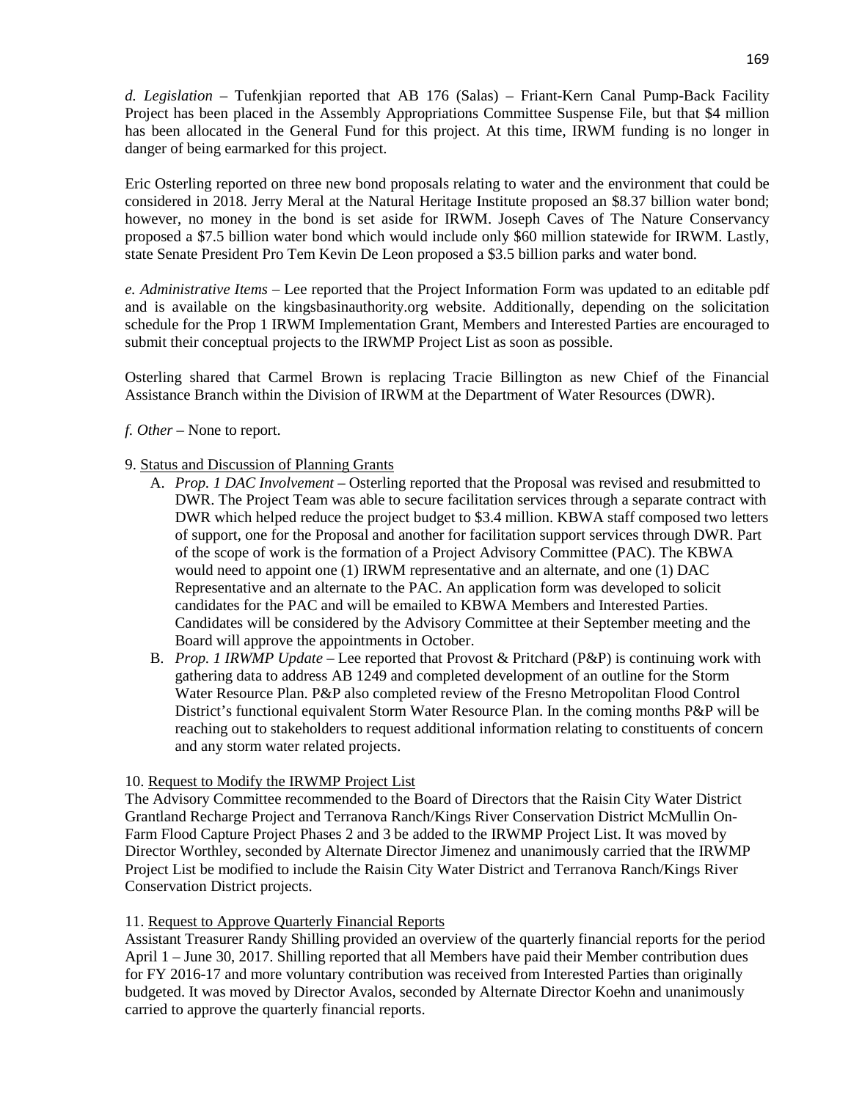*d. Legislation* – Tufenkjian reported that AB 176 (Salas) – Friant-Kern Canal Pump-Back Facility Project has been placed in the Assembly Appropriations Committee Suspense File, but that \$4 million has been allocated in the General Fund for this project. At this time, IRWM funding is no longer in danger of being earmarked for this project.

Eric Osterling reported on three new bond proposals relating to water and the environment that could be considered in 2018. Jerry Meral at the Natural Heritage Institute proposed an \$8.37 billion water bond; however, no money in the bond is set aside for IRWM. Joseph Caves of The Nature Conservancy proposed a \$7.5 billion water bond which would include only \$60 million statewide for IRWM. Lastly, state Senate President Pro Tem Kevin De Leon proposed a \$3.5 billion parks and water bond.

*e. Administrative Items* – Lee reported that the Project Information Form was updated to an editable pdf and is available on the kingsbasinauthority.org website. Additionally, depending on the solicitation schedule for the Prop 1 IRWM Implementation Grant, Members and Interested Parties are encouraged to submit their conceptual projects to the IRWMP Project List as soon as possible.

Osterling shared that Carmel Brown is replacing Tracie Billington as new Chief of the Financial Assistance Branch within the Division of IRWM at the Department of Water Resources (DWR).

*f. Other* – None to report.

# 9. Status and Discussion of Planning Grants

- A. *Prop. 1 DAC Involvement* Osterling reported that the Proposal was revised and resubmitted to DWR. The Project Team was able to secure facilitation services through a separate contract with DWR which helped reduce the project budget to \$3.4 million. KBWA staff composed two letters of support, one for the Proposal and another for facilitation support services through DWR. Part of the scope of work is the formation of a Project Advisory Committee (PAC). The KBWA would need to appoint one (1) IRWM representative and an alternate, and one (1) DAC Representative and an alternate to the PAC. An application form was developed to solicit candidates for the PAC and will be emailed to KBWA Members and Interested Parties. Candidates will be considered by the Advisory Committee at their September meeting and the Board will approve the appointments in October.
- B. *Prop. 1 IRWMP Update* Lee reported that Provost & Pritchard (P&P) is continuing work with gathering data to address AB 1249 and completed development of an outline for the Storm Water Resource Plan. P&P also completed review of the Fresno Metropolitan Flood Control District's functional equivalent Storm Water Resource Plan. In the coming months P&P will be reaching out to stakeholders to request additional information relating to constituents of concern and any storm water related projects.

### 10. Request to Modify the IRWMP Project List

The Advisory Committee recommended to the Board of Directors that the Raisin City Water District Grantland Recharge Project and Terranova Ranch/Kings River Conservation District McMullin On-Farm Flood Capture Project Phases 2 and 3 be added to the IRWMP Project List. It was moved by Director Worthley, seconded by Alternate Director Jimenez and unanimously carried that the IRWMP Project List be modified to include the Raisin City Water District and Terranova Ranch/Kings River Conservation District projects.

# 11. Request to Approve Quarterly Financial Reports

Assistant Treasurer Randy Shilling provided an overview of the quarterly financial reports for the period April 1 – June 30, 2017. Shilling reported that all Members have paid their Member contribution dues for FY 2016-17 and more voluntary contribution was received from Interested Parties than originally budgeted. It was moved by Director Avalos, seconded by Alternate Director Koehn and unanimously carried to approve the quarterly financial reports.